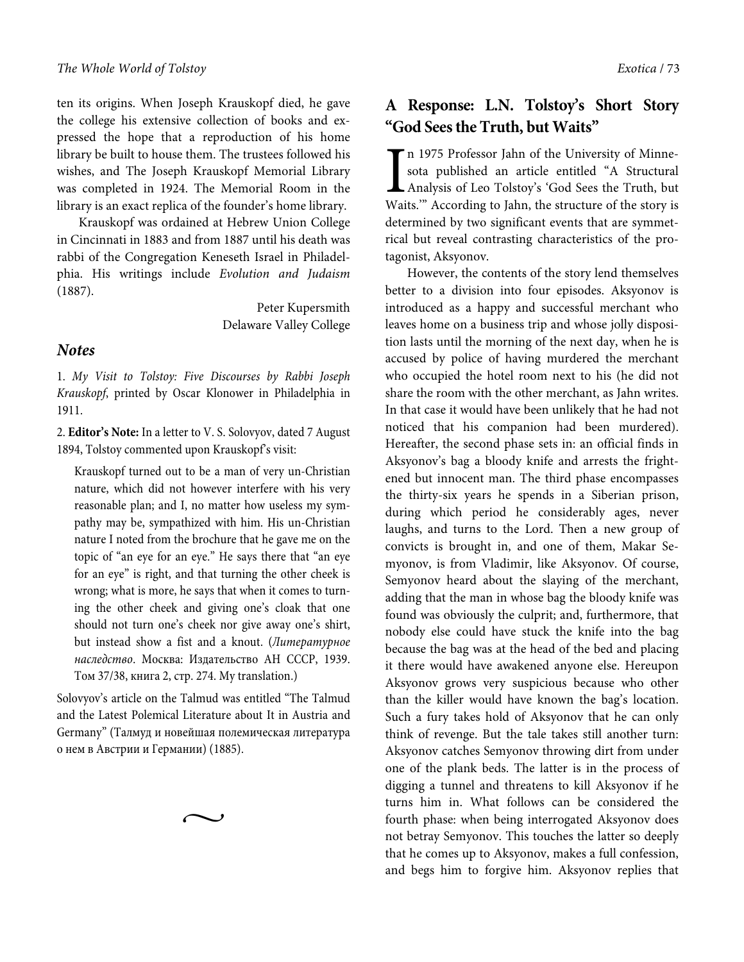ten its origins. When Joseph Krauskopf died, he gave the college his extensive collection of books and expressed the hope that a reproduction of his home library be built to house them. The trustees followed his wishes, and The Joseph Krauskopf Memorial Library was completed in 1924. The Memorial Room in the library is an exact replica of the founder's home library.

Krauskopf was ordained at Hebrew Union College in Cincinnati in 1883 and from 1887 until his death was rabbi of the Congregation Keneseth Israel in Philadelphia. His writings include Evolution and Judaism (1887).

> Peter Kupersmith Delaware Valley College

#### **Notes**

1. My Visit to Tolstoy: Five Discourses by Rabbi Joseph Krauskopf, printed by Oscar Klonower in Philadelphia in 1911.

2. **Editor's Note:** In a letter to V. S. Solovyov, dated 7 August 1894, Tolstoy commented upon Krauskopf's visit:

Krauskopf turned out to be a man of very un-Christian nature, which did not however interfere with his very reasonable plan; and I, no matter how useless my sympathy may be, sympathized with him. His un-Christian nature I noted from the brochure that he gave me on the topic of "an eye for an eye." He says there that "an eye for an eye" is right, and that turning the other cheek is wrong; what is more, he says that when it comes to turning the other cheek and giving one's cloak that one should not turn one's cheek nor give away one's shirt, but instead show a fist and a knout. (Литературное наследство. Москва: Издательство АН СССР, 1939. Том 37/38, книга 2, стр. 274. My translation.)

Solovyov's article on the Talmud was entitled "The Talmud and the Latest Polemical Literature about It in Austria and Germany" (Талмуд и новейшая полемическая литература о нем в Австрии и Германии) (1885).

 $\sim$ 

## **A Response: L.N. Tolstoy's Short Story "God Sees the Truth, but Waits"**

n 1975 Professor Jahn of the University of Minnesota published an article entitled "A Structural Analysis of Leo Tolstoy's 'God Sees the Truth, but Waits.'" According to Jahn, the structure of the story is determined by two significant events that are symmetrical but reveal contrasting characteristics of the protagonist, Aksyonov. I<br>Wai

However, the contents of the story lend themselves better to a division into four episodes. Aksyonov is introduced as a happy and successful merchant who leaves home on a business trip and whose jolly disposition lasts until the morning of the next day, when he is accused by police of having murdered the merchant who occupied the hotel room next to his (he did not share the room with the other merchant, as Jahn writes. In that case it would have been unlikely that he had not noticed that his companion had been murdered). Hereafter, the second phase sets in: an official finds in Aksyonov's bag a bloody knife and arrests the frightened but innocent man. The third phase encompasses the thirty-six years he spends in a Siberian prison, during which period he considerably ages, never laughs, and turns to the Lord. Then a new group of convicts is brought in, and one of them, Makar Semyonov, is from Vladimir, like Aksyonov. Of course, Semyonov heard about the slaying of the merchant, adding that the man in whose bag the bloody knife was found was obviously the culprit; and, furthermore, that nobody else could have stuck the knife into the bag because the bag was at the head of the bed and placing it there would have awakened anyone else. Hereupon Aksyonov grows very suspicious because who other than the killer would have known the bag's location. Such a fury takes hold of Aksyonov that he can only think of revenge. But the tale takes still another turn: Aksyonov catches Semyonov throwing dirt from under one of the plank beds. The latter is in the process of digging a tunnel and threatens to kill Aksyonov if he turns him in. What follows can be considered the fourth phase: when being interrogated Aksyonov does not betray Semyonov. This touches the latter so deeply that he comes up to Aksyonov, makes a full confession, and begs him to forgive him. Aksyonov replies that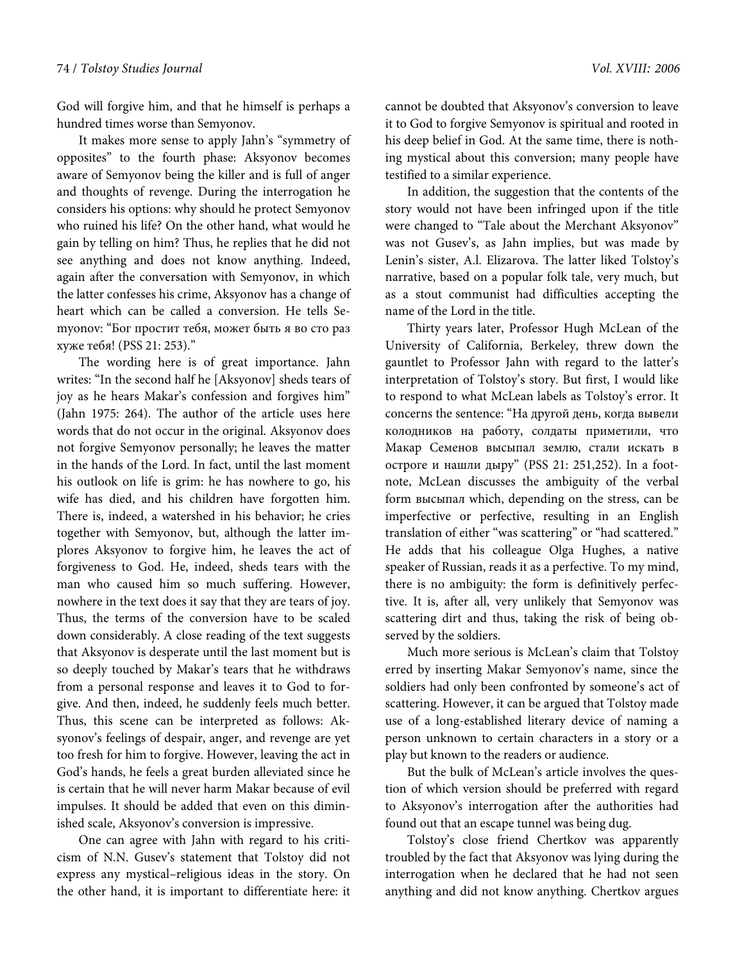God will forgive him, and that he himself is perhaps a hundred times worse than Semyonov.

It makes more sense to apply Jahn's "symmetry of opposites" to the fourth phase: Aksyonov becomes aware of Semyonov being the killer and is full of anger and thoughts of revenge. During the interrogation he considers his options: why should he protect Semyonov who ruined his life? On the other hand, what would he gain by telling on him? Thus, he replies that he did not see anything and does not know anything. Indeed, again after the conversation with Semyonov, in which the latter confesses his crime, Aksyonov has a change of heart which can be called a conversion. He tells Semyonov: "Бог простит тебя, может быть я во сто раз хуже тебя! (PSS 21: 253)."

The wording here is of great importance. Jahn writes: "In the second half he [Aksyonov] sheds tears of joy as he hears Makar's confession and forgives him" (Jahn 1975: 264). The author of the article uses here words that do not occur in the original. Aksyonov does not forgive Semyonov personally; he leaves the matter in the hands of the Lord. In fact, until the last moment his outlook on life is grim: he has nowhere to go, his wife has died, and his children have forgotten him. There is, indeed, a watershed in his behavior; he cries together with Semyonov, but, although the latter implores Aksyonov to forgive him, he leaves the act of forgiveness to God. He, indeed, sheds tears with the man who caused him so much suffering. However, nowhere in the text does it say that they are tears of joy. Thus, the terms of the conversion have to be scaled down considerably. A close reading of the text suggests that Aksyonov is desperate until the last moment but is so deeply touched by Makar's tears that he withdraws from a personal response and leaves it to God to forgive. And then, indeed, he suddenly feels much better. Thus, this scene can be interpreted as follows: Aksyonov's feelings of despair, anger, and revenge are yet too fresh for him to forgive. However, leaving the act in God's hands, he feels a great burden alleviated since he is certain that he will never harm Makar because of evil impulses. It should be added that even on this diminished scale, Aksyonov's conversion is impressive.

One can agree with Jahn with regard to his criticism of N.N. Gusev's statement that Tolstoy did not express any mystical–religious ideas in the story. On the other hand, it is important to differentiate here: it cannot be doubted that Aksyonov's conversion to leave it to God to forgive Semyonov is spiritual and rooted in his deep belief in God. At the same time, there is nothing mystical about this conversion; many people have testified to a similar experience.

In addition, the suggestion that the contents of the story would not have been infringed upon if the title were changed to "Tale about the Merchant Aksyonov" was not Gusev's, as Jahn implies, but was made by Lenin's sister, A.l. Elizarova. The latter liked Tolstoy's narrative, based on a popular folk tale, very much, but as a stout communist had difficulties accepting the name of the Lord in the title.

Thirty years later, Professor Hugh McLean of the University of California, Berkeley, threw down the gauntlet to Professor Jahn with regard to the latter's interpretation of Tolstoy's story. But first, I would like to respond to what McLean labels as Tolstoy's error. It concerns the sentence: "На другой день, когда вывели колодников на работу, солдаты приметили, что Макар Семенов высыпал землю, стали искать в остроге и нашли дыру" (PSS 21: 251,252). In a footnote, McLean discusses the ambiguity of the verbal form высыпал which, depending on the stress, can be imperfective or perfective, resulting in an English translation of either "was scattering" or "had scattered." He adds that his colleague Olga Hughes, a native speaker of Russian, reads it as a perfective. To my mind, there is no ambiguity: the form is definitively perfective. It is, after all, very unlikely that Semyonov was scattering dirt and thus, taking the risk of being observed by the soldiers.

Much more serious is McLean's claim that Tolstoy erred by inserting Makar Semyonov's name, since the soldiers had only been confronted by someone's act of scattering. However, it can be argued that Tolstoy made use of a long-established literary device of naming a person unknown to certain characters in a story or a play but known to the readers or audience.

But the bulk of McLean's article involves the question of which version should be preferred with regard to Aksyonov's interrogation after the authorities had found out that an escape tunnel was being dug.

Tolstoy's close friend Chertkov was apparently troubled by the fact that Aksyonov was lying during the interrogation when he declared that he had not seen anything and did not know anything. Chertkov argues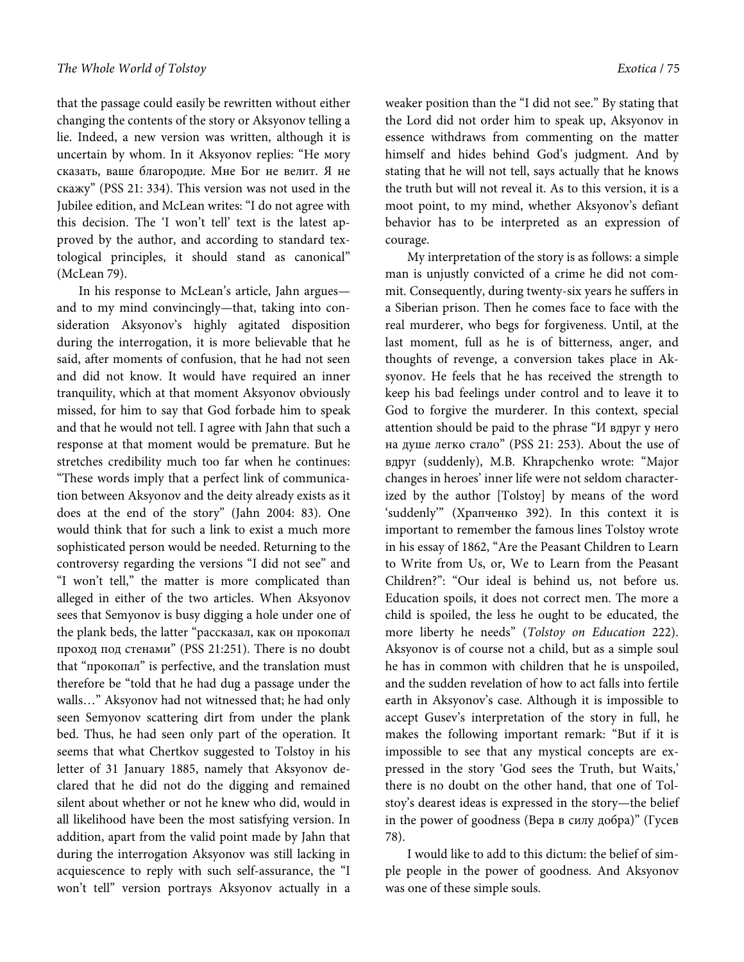that the passage could easily be rewritten without either changing the contents of the story or Aksyonov telling a lie. Indeed, a new version was written, although it is uncertain by whom. In it Aksyonov replies: "Не могу сказать, ваше благородие. Мне Бог не велит. Я не скажу" (PSS 21: 334). This version was not used in the Jubilee edition, and McLean writes: "I do not agree with this decision. The 'I won't tell' text is the latest approved by the author, and according to standard textological principles, it should stand as canonical" (McLean 79).

In his response to McLean's article, Jahn argues and to my mind convincingly—that, taking into consideration Aksyonov's highly agitated disposition during the interrogation, it is more believable that he said, after moments of confusion, that he had not seen and did not know. It would have required an inner tranquility, which at that moment Aksyonov obviously missed, for him to say that God forbade him to speak and that he would not tell. I agree with Jahn that such a response at that moment would be premature. But he stretches credibility much too far when he continues: "These words imply that a perfect link of communication between Aksyonov and the deity already exists as it does at the end of the story" (Jahn 2004: 83). One would think that for such a link to exist a much more sophisticated person would be needed. Returning to the controversy regarding the versions "I did not see" and "I won't tell," the matter is more complicated than alleged in either of the two articles. When Aksyonov sees that Semyonov is busy digging a hole under one of the plank beds, the latter "рассказал, как он прокопал проход под стенами" (PSS 21:251). There is no doubt that "прокопал" is perfective, and the translation must therefore bе "told that he had dug a passage under the walls…" Aksyonov had not witnessed that; he had only seen Semyonov scattering dirt from under the plank bed. Thus, he had seen only part of the operation. It seems that what Chertkov suggested to Tolstoy in his letter of 31 January 1885, namely that Aksyonov declared that he did not do the digging and remained silent about whether or not he knew who did, would in all likelihood have been the most satisfying version. In addition, apart from the valid point made by Jahn that during the interrogation Aksyonov was still lacking in acquiescence to reply with such self-assurance, the "I won't tell" version portrays Aksyonov actually in a

weaker position than the "I did not see." By stating that the Lord did not order him to speak up, Aksyonov in essence withdraws from commenting on the matter himself and hides behind God's judgment. And by stating that he will not tell, says actually that he knows the truth but will not reveal it. As to this version, it is a moot point, to my mind, whether Aksyonov's defiant behavior has to be interpreted as an expression of courage.

My interpretation of the story is as follows: a simple man is unjustly convicted of a crime he did not commit. Consequently, during twenty-six years he suffers in a Siberian prison. Then he comes face to face with the real murderer, who begs for forgiveness. Until, at the last moment, full as he is of bitterness, anger, and thoughts of revenge, a conversion takes place in Aksyonov. He feels that he has received the strength to keep his bad feelings under control and to leave it to God to forgive the murderer. In this context, special attention should be paid to the phrase "И вдруг у него на душе легко стало" (PSS 21: 253). About the use of вдруг (suddenly), M.B. Khrapchenko wrote: "Major changes in heroes' inner life were not seldom characterized by the author [Tolstoy] by means of the word 'suddenly'" (Храпченко 392). In this context it is important to remember the famous lines Tolstoy wrote in his essay of 1862, "Are the Peasant Children to Learn to Write from Us, or, We to Learn from the Peasant Children?": "Our ideal is behind us, not before us. Education spoils, it does not correct men. The more a child is spoiled, the less he ought to be educated, the more liberty he needs" (Tolstoy on Education 222). Aksyonov is of course not a child, but as a simple soul he has in common with children that he is unspoiled, and the sudden revelation of how to act falls into fertile earth in Aksyonov's case. Although it is impossible to accept Gusev's interpretation of the story in full, he makes the following important remark: "But if it is impossible to see that any mystical concepts are expressed in the story 'God sees the Truth, but Waits,' there is no doubt on the other hand, that one of Tolstoy's dearest ideas is expressed in the story—the belief in the power of goodness (Вера в силу добра)" (Гусев 78).

I would like to add to this dictum: the belief of simple people in the power of goodness. And Aksyonov was one of these simple souls.